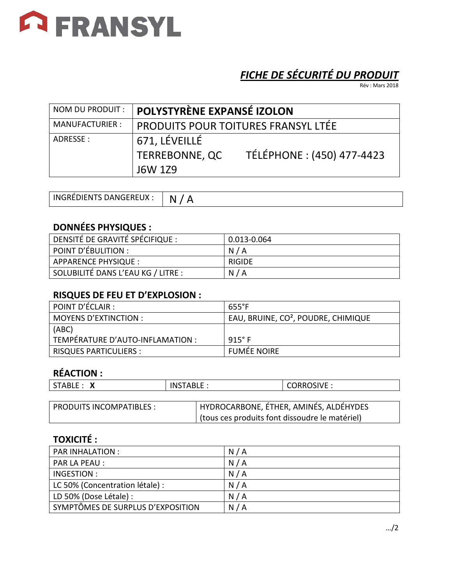

# *FICHE DE SÉCURITÉ DU PRODUIT*

Rév : Mars 2018

| NOM DU PRODUIT :      | POLYSTYRÈNE EXPANSÉ IZOLON                        |                            |
|-----------------------|---------------------------------------------------|----------------------------|
| <b>MANUFACTURIER:</b> | <b>PRODUITS POUR TOITURES FRANSYL LTÉE</b>        |                            |
| ADRESSE :             | 671, LÉVEILLÉ<br><b>TERREBONNE, QC</b><br>J6W 1Z9 | TÉLÉPHONE : (450) 477-4423 |

| INGRÉDIENTS DANGEREUX : | N. |
|-------------------------|----|
|-------------------------|----|

## **DONNÉES PHYSIQUES :**

| DENSITÉ DE GRAVITÉ SPÉCIFIQUE :    | 0.013-0.064 |
|------------------------------------|-------------|
| POINT D'ÉBULITION :                | N/A         |
| APPARENCE PHYSIQUE :               | RIGIDE      |
| SOLUBILITÉ DANS L'EAU KG / LITRE : | N/A         |

#### **RISQUES DE FEU ET D'EXPLOSION :**

| POINT D'ÉCLAIR :                 | 655°F                                           |
|----------------------------------|-------------------------------------------------|
| <b>MOYENS D'EXTINCTION :</b>     | EAU, BRUINE, CO <sup>2</sup> , POUDRE, CHIMIQUE |
| (ABC)                            |                                                 |
| TEMPÉRATURE D'AUTO-INFLAMATION : | 915° F                                          |
| <b>RISQUES PARTICULIERS :</b>    | <b>FUMÉE NOIRE</b>                              |

## **RÉACTION :**

|  | <b>STABLE</b> | <b>INSTABLE</b> | CORROSIVE : |
|--|---------------|-----------------|-------------|
|--|---------------|-----------------|-------------|

| PRODUITS INCOMPATIBLES : | HYDROCARBONE, ÉTHER, AMINÉS, ALDÉHYDES         |
|--------------------------|------------------------------------------------|
|                          | (tous ces produits font dissoudre le matériel) |

## **TOXICITÉ :**

| PAR INHALATION :                  | N/A |
|-----------------------------------|-----|
| PAR LA PEAU :                     | N/A |
| INGESTION :                       | N/A |
| LC 50% (Concentration létale) :   | N/A |
| LD 50% (Dose Létale) :            | N/A |
| SYMPTÔMES DE SURPLUS D'EXPOSITION | N/A |